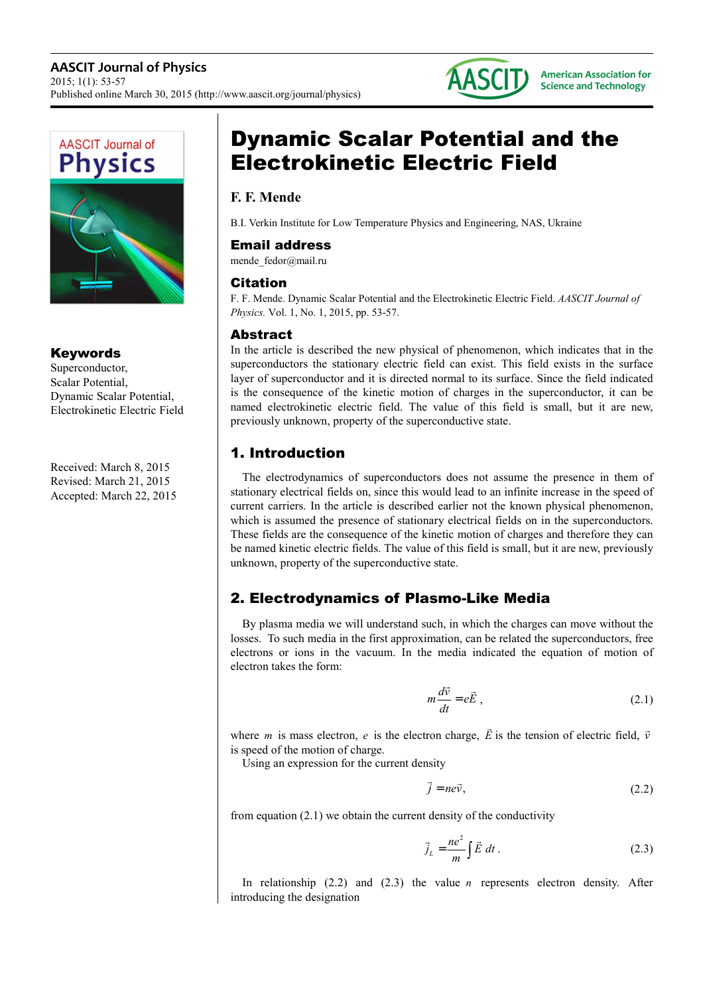



#### Keywords

Superconductor, Scalar Potential, Dynamic Scalar Potential, Electrokinetic Electric Field

Received: March 8, 2015 Revised: March 21, 2015 Accepted: March 22, 2015

# Dynamic Scalar Potential and the Electrokinetic Electric Field

### **F. F. Mende**

B.I. Verkin Institute for Low Temperature Physics and Engineering, NAS, Ukraine

#### Email address

mende\_fedor@mail.ru

#### Citation

F. F. Mende. Dynamic Scalar Potential and the Electrokinetic Electric Field. *AASCIT Journal of Physics.* Vol. 1, No. 1, 2015, pp. 53-57.

#### Abstract

In the article is described the new physical of phenomenon, which indicates that in the superconductors the stationary electric field can exist. This field exists in the surface layer of superconductor and it is directed normal to its surface. Since the field indicated is the consequence of the kinetic motion of charges in the superconductor, it can be named electrokinetic electric field. The value of this field is small, but it are new, previously unknown, property of the superconductive state.

## 1. Introduction

The electrodynamics of superconductors does not assume the presence in them of stationary electrical fields on, since this would lead to an infinite increase in the speed of current carriers. In the article is described earlier not the known physical phenomenon, which is assumed the presence of stationary electrical fields on in the superconductors. These fields are the consequence of the kinetic motion of charges and therefore they can be named kinetic electric fields. The value of this field is small, but it are new, previously unknown, property of the superconductive state.

## 2. Electrodynamics of Plasmo-Like Media

By plasma media we will understand such, in which the charges can move without the losses. To such media in the first approximation, can be related the superconductors, free electrons or ions in the vacuum. In the media indicated the equation of motion of electron takes the form:

$$
m\frac{d\vec{v}}{dt} = e\vec{E},\qquad(2.1)
$$

where *m* is mass electron, *e* is the electron charge, *E*  $\overline{a}$ is the tension of electric field, *v* is speed of the motion of charge.

Using an expression for the current density

$$
\vec{j} = n e \vec{v},\tag{2.2}
$$

from equation (2.1) we obtain the current density of the conductivity

$$
\vec{j}_L = \frac{ne^2}{m} \int \vec{E} dt.
$$
 (2.3)

In relationship (2.2) and (2.3) the value *n* represents electron density. After introducing the designation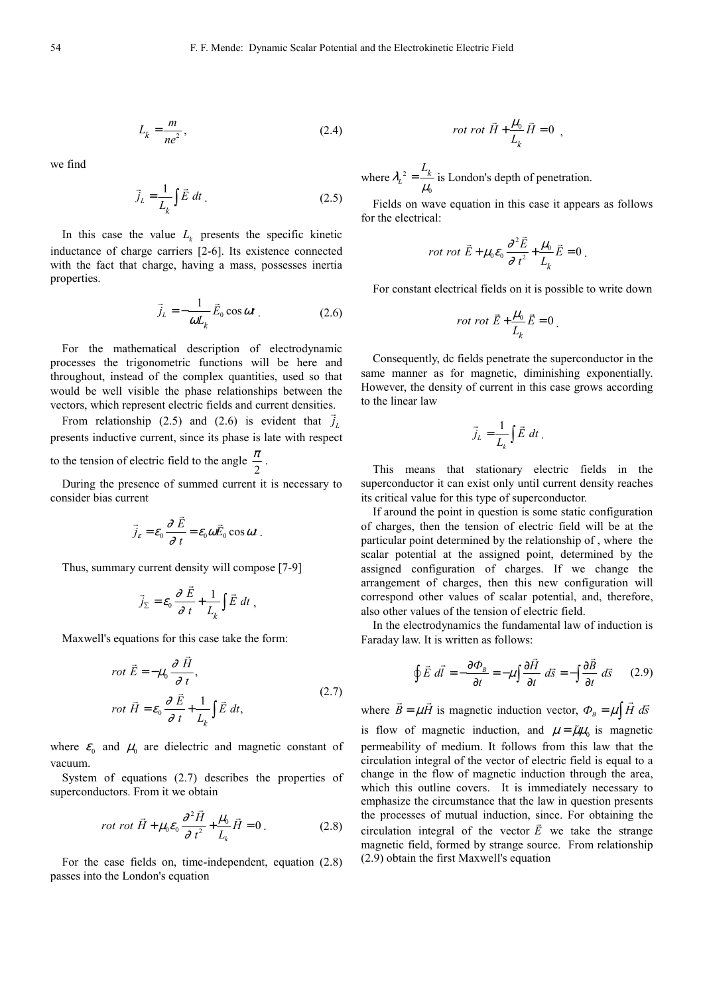$$
L_k = \frac{m}{ne^2},\tag{2.4}
$$

we find

$$
\vec{j}_L = \frac{1}{L_k} \int \vec{E} \, dt \tag{2.5}
$$

In this case the value  $L_k$  presents the specific kinetic inductance of charge carriers [2-6]. Its existence connected with the fact that charge, having a mass, possesses inertia properties.

$$
\vec{j}_L = -\frac{1}{\omega L_k} \vec{E}_0 \cos \omega t \tag{2.6}
$$

For the mathematical description of electrodynamic processes the trigonometric functions will be here and throughout, instead of the complex quantities, used so that would be well visible the phase relationships between the vectors, which represent electric fields and current densities.

From relationship (2.5) and (2.6) is evident that  $j_L$ presents inductive current, since its phase is late with respect

to the tension of electric field to the angle  $\frac{\pi}{2}$  $\frac{\pi}{2}$ .

During the presence of summed current it is necessary to consider bias current

$$
\vec{j}_\varepsilon = \varepsilon_0 \frac{\partial \vec{E}}{\partial t} = \varepsilon_0 \omega \vec{E}_0 \cos \omega t
$$

Thus, summary current density will compose [7-9]

$$
\vec{j}_{\Sigma} = \varepsilon_0 \frac{\partial \vec{E}}{\partial t} + \frac{1}{L_k} \int \vec{E} dt ,
$$

Maxwell's equations for this case take the form:

$$
rot \vec{E} = -\mu_0 \frac{\partial \vec{H}}{\partial t},
$$
  
\n
$$
rot \vec{H} = \varepsilon_0 \frac{\partial \vec{E}}{\partial t} + \frac{1}{L_k} \int \vec{E} dt,
$$
\n(2.7)

where  $\varepsilon_0$  and  $\mu_0$  are dielectric and magnetic constant of vacuum.

System of equations (2.7) describes the properties of superconductors. From it we obtain

$$
rot \ \vec{H} + \mu_0 \varepsilon_0 \frac{\partial^2 \vec{H}}{\partial t^2} + \frac{\mu_0}{L_k} \vec{H} = 0 \ . \tag{2.8}
$$

For the case fields on, time-independent, equation (2.8) passes into the London's equation

$$
rot\ rot\ \vec{H} + \frac{\mu_0}{L_k}\vec{H} = 0 \ ,
$$

where  $\lambda_L^2$  $\lambda_L^2 = \frac{L_k}{\mu_0}$  $=\frac{k}{\mu_0}$  is London's depth of penetration.

Fields on wave equation in this case it appears as follows for the electrical:

$$
rot \tdot{\vec{E}} + \mu_0 \varepsilon_0 \frac{\partial^2 \vec{E}}{\partial t^2} + \frac{\mu_0}{L_k} \vec{E} = 0.
$$

For constant electrical fields on it is possible to write down

$$
rot\ rot\ \vec{E} + \frac{\mu_0}{L_k}\vec{E} = 0
$$

Consequently, dc fields penetrate the superconductor in the same manner as for magnetic, diminishing exponentially. However, the density of current in this case grows according to the linear law

$$
\vec{j}_L = \frac{1}{L_k} \int \vec{E} \, dt \, .
$$

This means that stationary electric fields in the superconductor it can exist only until current density reaches its critical value for this type of superconductor.

If around the point in question is some static configuration of charges, then the tension of electric field will be at the particular point determined by the relationship of , where the scalar potential at the assigned point, determined by the assigned configuration of charges. If we change the arrangement of charges, then this new configuration will correspond other values of scalar potential, and, therefore, also other values of the tension of electric field.

In the electrodynamics the fundamental law of induction is Faraday law. It is written as follows:

$$
\oint \vec{E} \ d\vec{l} = -\frac{\partial \Phi_{B}}{\partial t} = -\mu \int \frac{\partial \vec{H}}{\partial t} \ d\vec{s} = -\int \frac{\partial \vec{B}}{\partial t} \ d\vec{s} \qquad (2.9)
$$

where  $B = \mu H$  $\overline{a}$ is magnetic induction vector,  $\Phi_B = \mu \int \vec{H} \ d\vec{s}$  $\vec{a}$ 

is flow of magnetic induction, and  $\mu = \tilde{\mu}\mu_0$  is magnetic permeability of medium. It follows from this law that the circulation integral of the vector of electric field is equal to a change in the flow of magnetic induction through the area, which this outline covers. It is immediately necessary to emphasize the circumstance that the law in question presents the processes of mutual induction, since. For obtaining the circulation integral of the vector  $E$  we take the strange magnetic field, formed by strange source. From relationship (2.9) obtain the first Maxwell's equation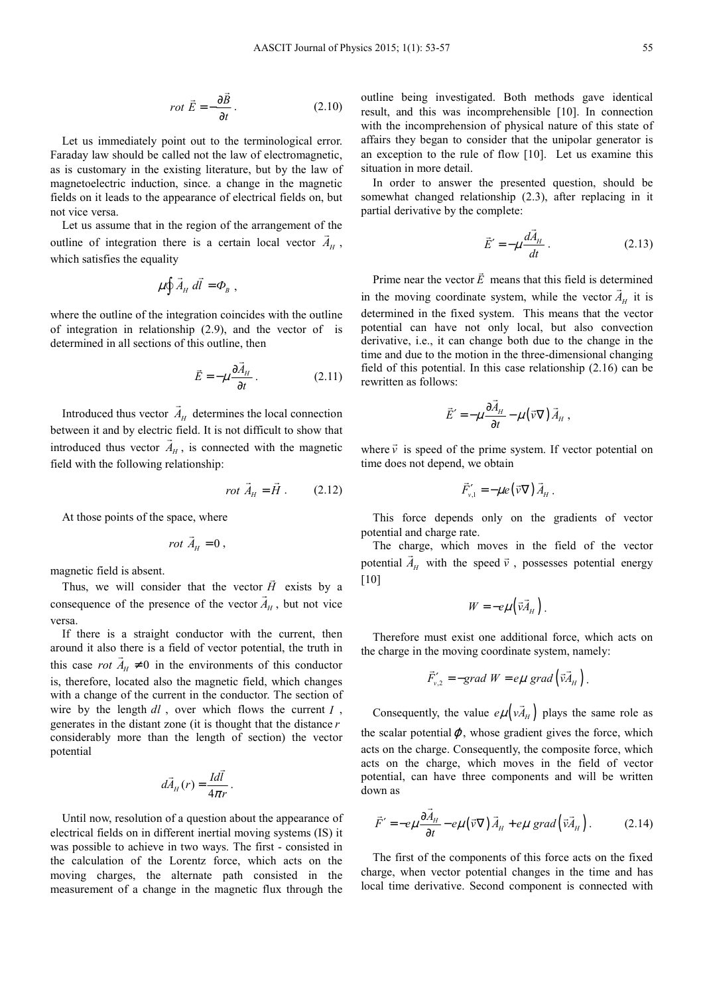$$
rot \vec{E} = -\frac{\partial \vec{B}}{\partial t}.
$$
 (2.10)

Let us immediately point out to the terminological error. Faraday law should be called not the law of electromagnetic, as is customary in the existing literature, but by the law of magnetoelectric induction, since. a change in the magnetic fields on it leads to the appearance of electrical fields on, but not vice versa.

Let us assume that in the region of the arrangement of the outline of integration there is a certain local vector  $A_H$ , which satisfies the equality

$$
\mu \oint \vec{A}_H \, d\vec{l} = \Phi_B ,
$$

where the outline of the integration coincides with the outline of integration in relationship (2.9), and the vector of is determined in all sections of this outline, then

$$
\vec{E} = -\mu \frac{\partial \vec{A}_H}{\partial t} \,. \tag{2.11}
$$

Introduced thus vector  $A_H$  determines the local connection  $\overline{a}$ between it and by electric field. It is not difficult to show that introduced thus vector  $A_H$ , is connected with the magnetic field with the following relationship:

$$
rot \vec{A}_H = \vec{H} . \qquad (2.12)
$$

 $\overline{a}$ 

At those points of the space, where

$$
rot \ \vec{A}_H = 0 \ ,
$$

magnetic field is absent.

Thus, we will consider that the vector *H*  $\vec{H}$  exists by a consequence of the presence of the vector  $A_H$ , but not vice versa.

If there is a straight conductor with the current, then around it also there is a field of vector potential, the truth in this case *rot*  $A_H \neq 0$  in the environments of this conductor is, therefore, located also the magnetic field, which changes with a change of the current in the conductor. The section of wire by the length *dl* , over which flows the current *I* , generates in the distant zone (it is thought that the distance *r* considerably more than the length of section) the vector potential

$$
d\vec{A}_H(r) = \frac{Id\vec{l}}{4\pi r}.
$$

Until now, resolution of a question about the appearance of electrical fields on in different inertial moving systems (IS) it was possible to achieve in two ways. The first - consisted in the calculation of the Lorentz force, which acts on the moving charges, the alternate path consisted in the measurement of a change in the magnetic flux through the

outline being investigated. Both methods gave identical result, and this was incomprehensible [10]. In connection with the incomprehension of physical nature of this state of affairs they began to consider that the unipolar generator is an exception to the rule of flow [10]. Let us examine this situation in more detail.

In order to answer the presented question, should be somewhat changed relationship (2.3), after replacing in it partial derivative by the complete:

$$
\vec{E}' = -\mu \frac{d\vec{A}_H}{dt} \,. \tag{2.13}
$$

Prime near the vector *E*  $\overline{a}$  means that this field is determined in the moving coordinate system, while the vector  $A_H$  it is determined in the fixed system. This means that the vector potential can have not only local, but also convection derivative, i.e., it can change both due to the change in the time and due to the motion in the three-dimensional changing field of this potential. In this case relationship (2.16) can be rewritten as follows:

$$
\vec{E}' = -\mu \frac{\partial \vec{A}_H}{\partial t} - \mu (\vec{v} \nabla) \vec{A}_H,
$$

where  $\vec{v}$  is speed of the prime system. If vector potential on time does not depend, we obtain

$$
\vec{F}_{v,1}' = -\mu e(\vec{v}\nabla)\vec{A}_H.
$$

This force depends only on the gradients of vector potential and charge rate.

The charge, which moves in the field of the vector potential  $\vec{A}_H$  with the speed  $\vec{v}$ , possesses potential energy [10]

$$
W=-e\mu\left(\vec{v}\vec{A}_{H}\right).
$$

Therefore must exist one additional force, which acts on the charge in the moving coordinate system, namely:

$$
\vec{F}_{v,2}^{\prime} = -grad W = e\mu \, grad \left( \vec{v} \vec{A}_{H} \right).
$$

Consequently, the value  $e\mu \left(\nu A_{H}\right)$  $\overline{a}$  plays the same role as the scalar potential $\varphi$ , whose gradient gives the force, which acts on the charge. Consequently, the composite force, which acts on the charge, which moves in the field of vector potential, can have three components and will be written down as

$$
\vec{F}' = -e\mu \frac{\partial \vec{A}_H}{\partial t} - e\mu (\vec{v} \nabla) \vec{A}_H + e\mu \text{ grad} (\vec{v} \vec{A}_H).
$$
 (2.14)

The first of the components of this force acts on the fixed charge, when vector potential changes in the time and has local time derivative. Second component is connected with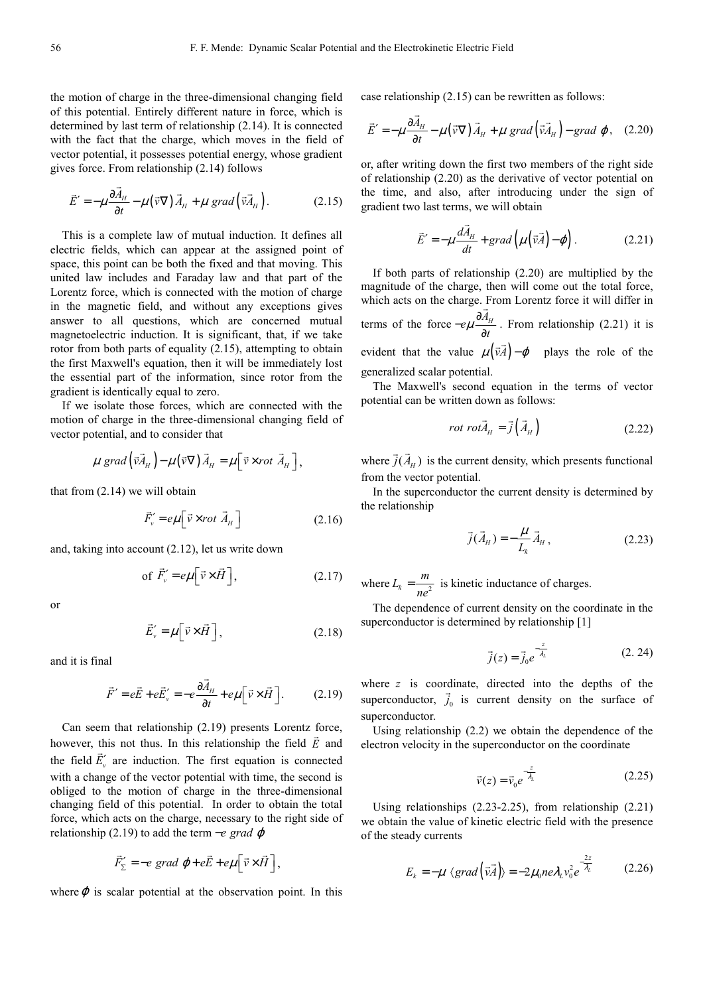the motion of charge in the three-dimensional changing field of this potential. Entirely different nature in force, which is determined by last term of relationship (2.14). It is connected with the fact that the charge, which moves in the field of vector potential, it possesses potential energy, whose gradient gives force. From relationship (2.14) follows

$$
\vec{E}' = -\mu \frac{\partial \vec{A}_H}{\partial t} - \mu (\vec{v} \nabla) \vec{A}_H + \mu \text{ grad} (\vec{v} \vec{A}_H).
$$
 (2.15)

This is a complete law of mutual induction. It defines all electric fields, which can appear at the assigned point of space, this point can be both the fixed and that moving. This united law includes and Faraday law and that part of the Lorentz force, which is connected with the motion of charge in the magnetic field, and without any exceptions gives answer to all questions, which are concerned mutual magnetoelectric induction. It is significant, that, if we take rotor from both parts of equality (2.15), attempting to obtain the first Maxwell's equation, then it will be immediately lost the essential part of the information, since rotor from the gradient is identically equal to zero.

If we isolate those forces, which are connected with the motion of charge in the three-dimensional changing field of vector potential, and to consider that

$$
\mu \, grad\left(\vec{v}\vec{A}_{H}\right)-\mu\left(\vec{v}\nabla\right)\vec{A}_{H}=\mu\left[\vec{v}\times rot\ \vec{A}_{H}\right],
$$

that from (2.14) we will obtain

$$
\vec{F}_v' = e\mu \left[ \vec{v} \times rot \vec{A}_H \right]
$$
 (2.16)

and, taking into account (2.12), let us write down

of 
$$
\vec{F}_v' = e\mu \left[\vec{v} \times \vec{H}\right]
$$
, (2.17)

or

$$
\vec{E}'_{\nu} = \mu \left[ \vec{\nu} \times \vec{H} \right],\tag{2.18}
$$

and it is final

$$
\vec{F}' = e\vec{E} + e\vec{E}'_{\nu} = -e\frac{\partial \vec{A}_{H}}{\partial t} + e\mu \left[\vec{v} \times \vec{H}\right].
$$
 (2.19)

Can seem that relationship  $(2.19)$  presents Lorentz force, however, this not thus. In this relationship the field  $\vec{E}$  and the field  $E'_{\nu}$  are induction. The first equation is connected with a change of the vector potential with time, the second is obliged to the motion of charge in the three-dimensional changing field of this potential. In order to obtain the total force, which acts on the charge, necessary to the right side of relationship (2.19) to add the term −*e grad* ϕ

$$
\vec{F}_{\Sigma}^{\prime} = -e \text{ grad } \varphi + e\vec{E} + e\mu \left[ \vec{v} \times \vec{H} \right],
$$

where  $\varphi$  is scalar potential at the observation point. In this

case relationship (2.15) can be rewritten as follows:

$$
\vec{E}' = -\mu \frac{\partial \vec{A}_H}{\partial t} - \mu (\vec{v} \nabla) \vec{A}_H + \mu \text{ grad} (\vec{v} \vec{A}_H) - \text{grad } \varphi, \quad (2.20)
$$

or, after writing down the first two members of the right side of relationship (2.20) as the derivative of vector potential on the time, and also, after introducing under the sign of gradient two last terms, we will obtain

$$
\vec{E}' = -\mu \frac{d\vec{A}_H}{dt} + grad\left(\mu\left(\vec{v}\vec{A}\right) - \varphi\right).
$$
 (2.21)

If both parts of relationship (2.20) are multiplied by the magnitude of the charge, then will come out the total force, which acts on the charge. From Lorentz force it will differ in terms of the force  $-e\mu \frac{\partial A_{H}}{\partial t}$ . From relationship (2.21) it is evident that the value  $\mu(\vec{v}A) - \varphi$  $(\vec{v}\cdot\vec{A})-\varphi$  plays the role of the generalized scalar potential.

The Maxwell's second equation in the terms of vector potential can be written down as follows:

$$
rot\,rot\vec{A}_{H} = \vec{j} \left( \vec{A}_{H} \right) \tag{2.22}
$$

where  $j(A<sub>H</sub>)$  $\overline{a}$  is the current density, which presents functional from the vector potential.

In the superconductor the current density is determined by the relationship

$$
\vec{j}(\vec{A}_H) = -\frac{\mu}{L_k} \vec{A}_H, \qquad (2.23)
$$

where  $L_k = \frac{m}{l}$  $=\frac{m}{ne^2}$  is kinetic inductance of charges.

The dependence of current density on the coordinate in the superconductor is determined by relationship [1]

$$
\vec{j}(z) = \vec{j}_0 e^{-\frac{z}{\lambda_L}}
$$
 (2. 24)

where *z* is coordinate, directed into the depths of the superconductor,  $j_0$  is current density on the surface of superconductor.

Using relationship (2.2) we obtain the dependence of the electron velocity in the superconductor on the coordinate

$$
\vec{v}(z) = \vec{v}_0 e^{-\frac{z}{\lambda_L}} \tag{2.25}
$$

Using relationships (2.23-2.25), from relationship (2.21) we obtain the value of kinetic electric field with the presence of the steady currents

$$
E_k = -\mu \langle grad \left(\vec{v} \vec{A}\right) \rangle = -2\mu_0 n e \lambda_L v_0^2 e^{-\frac{2z}{\lambda_L}}
$$
 (2.26)